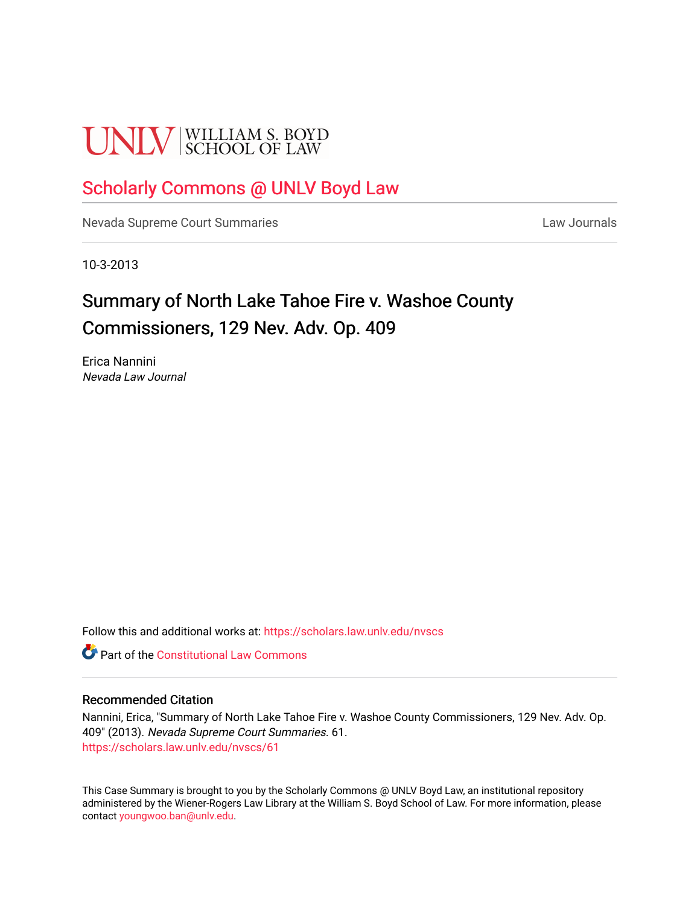# **UNLV** SCHOOL OF LAW

### [Scholarly Commons @ UNLV Boyd Law](https://scholars.law.unlv.edu/)

[Nevada Supreme Court Summaries](https://scholars.law.unlv.edu/nvscs) **Law Journals** Law Journals

10-3-2013

## Summary of North Lake Tahoe Fire v. Washoe County Commissioners, 129 Nev. Adv. Op. 409

Erica Nannini Nevada Law Journal

Follow this and additional works at: [https://scholars.law.unlv.edu/nvscs](https://scholars.law.unlv.edu/nvscs?utm_source=scholars.law.unlv.edu%2Fnvscs%2F61&utm_medium=PDF&utm_campaign=PDFCoverPages)

**C** Part of the Constitutional Law Commons

#### Recommended Citation

Nannini, Erica, "Summary of North Lake Tahoe Fire v. Washoe County Commissioners, 129 Nev. Adv. Op. 409" (2013). Nevada Supreme Court Summaries. 61. [https://scholars.law.unlv.edu/nvscs/61](https://scholars.law.unlv.edu/nvscs/61?utm_source=scholars.law.unlv.edu%2Fnvscs%2F61&utm_medium=PDF&utm_campaign=PDFCoverPages) 

This Case Summary is brought to you by the Scholarly Commons @ UNLV Boyd Law, an institutional repository administered by the Wiener-Rogers Law Library at the William S. Boyd School of Law. For more information, please contact [youngwoo.ban@unlv.edu](mailto:youngwoo.ban@unlv.edu).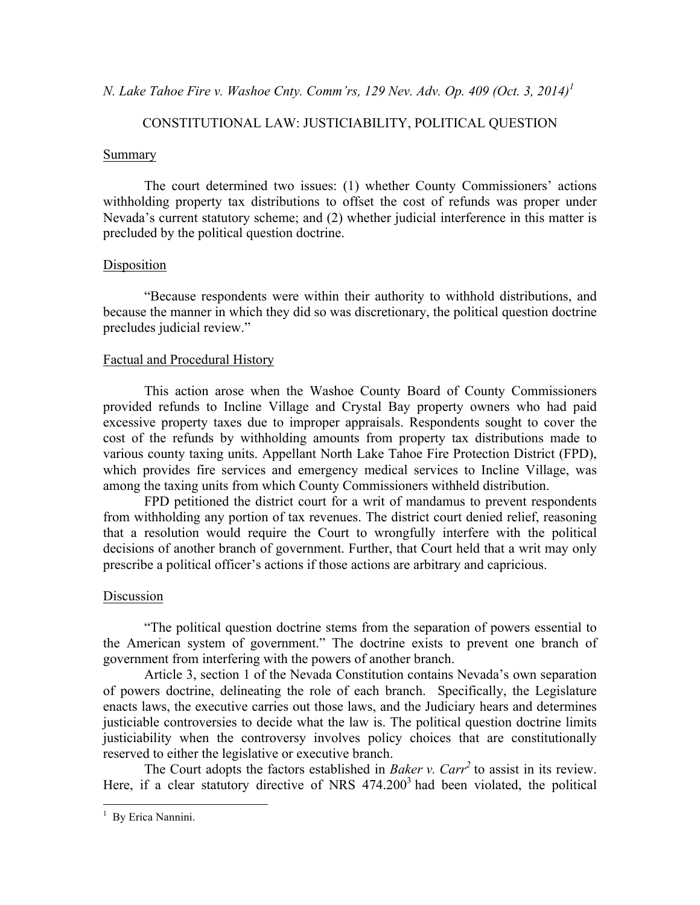*N. Lake Tahoe Fire v. Washoe Cnty. Comm'rs, 129 Nev. Adv. Op. 409 (Oct. 3, 2014)<sup>1</sup>*

#### CONSTITUTIONAL LAW: JUSTICIABILITY, POLITICAL QUESTION

#### Summary

The court determined two issues: (1) whether County Commissioners' actions withholding property tax distributions to offset the cost of refunds was proper under Nevada's current statutory scheme; and (2) whether judicial interference in this matter is precluded by the political question doctrine.

#### Disposition

"Because respondents were within their authority to withhold distributions, and because the manner in which they did so was discretionary, the political question doctrine precludes judicial review."

#### Factual and Procedural History

This action arose when the Washoe County Board of County Commissioners provided refunds to Incline Village and Crystal Bay property owners who had paid excessive property taxes due to improper appraisals. Respondents sought to cover the cost of the refunds by withholding amounts from property tax distributions made to various county taxing units. Appellant North Lake Tahoe Fire Protection District (FPD), which provides fire services and emergency medical services to Incline Village, was among the taxing units from which County Commissioners withheld distribution.

FPD petitioned the district court for a writ of mandamus to prevent respondents from withholding any portion of tax revenues. The district court denied relief, reasoning that a resolution would require the Court to wrongfully interfere with the political decisions of another branch of government. Further, that Court held that a writ may only prescribe a political officer's actions if those actions are arbitrary and capricious.

#### Discussion

"The political question doctrine stems from the separation of powers essential to the American system of government." The doctrine exists to prevent one branch of government from interfering with the powers of another branch.

Article 3, section 1 of the Nevada Constitution contains Nevada's own separation of powers doctrine, delineating the role of each branch. Specifically, the Legislature enacts laws, the executive carries out those laws, and the Judiciary hears and determines justiciable controversies to decide what the law is. The political question doctrine limits justiciability when the controversy involves policy choices that are constitutionally reserved to either the legislative or executive branch.

The Court adopts the factors established in *Baker v. Carr<sup>2</sup>* to assist in its review. Here, if a clear statutory directive of NRS  $474.200<sup>3</sup>$  had been violated, the political

 $\frac{1}{1}$ <sup>1</sup> By Erica Nannini.